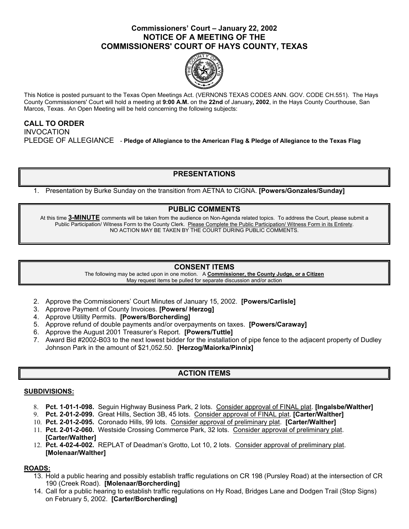## **Commissioners' Court – January 22, 2002 NOTICE OF A MEETING OF THE COMMISSIONERS' COURT OF HAYS COUNTY, TEXAS**



This Notice is posted pursuant to the Texas Open Meetings Act. (VERNONS TEXAS CODES ANN. GOV. CODE CH.551). The Hays County Commissioners' Court will hold a meeting at **9:00 A.M.** on the **22nd** of January**, 2002**, in the Hays County Courthouse, San Marcos, Texas. An Open Meeting will be held concerning the following subjects:

## **CALL TO ORDER**  INVOCATION PLEDGE OF ALLEGIANCE - **Pledge of Allegiance to the American Flag & Pledge of Allegiance to the Texas Flag**

# **PRESENTATIONS**

1. Presentation by Burke Sunday on the transition from AETNA to CIGNA. **[Powers/Gonzales/Sunday]** 

## **PUBLIC COMMENTS**

At this time **3-MINUTE** comments will be taken from the audience on Non-Agenda related topics. To address the Court, please submit a Public Participation/ Witness Form to the County Clerk. Please Complete the Public Participation/ Witness Form in its Entirety. NO ACTION MAY BE TAKEN BY THE COURT DURING PUBLIC COMMENTS.

### **CONSENT ITEMS**

The following may be acted upon in one motion. A **Commissioner, the County Judge, or a Citizen** May request items be pulled for separate discussion and/or action

- 2. Approve the Commissioners' Court Minutes of January 15, 2002. **[Powers/Carlisle]**
- 3. Approve Payment of County Invoices. **[Powers/ Herzog]**
- 4. Approve Utililty Permits. **[Powers/Borcherding]**
- 5. Approve refund of double payments and/or overpayments on taxes. **[Powers/Caraway]**
- 6. Approve the August 2001 Treasurer's Report. **[Powers/Tuttle]**
- 7. Award Bid #2002-B03 to the next lowest bidder for the installation of pipe fence to the adjacent property of Dudley Johnson Park in the amount of \$21,052.50. **[Herzog/Maiorka/Pinnix]**

# **ACTION ITEMS**

#### **SUBDIVISIONS:**

- 8. **Pct. 1-01-1-098.** Seguin Highway Business Park, 2 lots. Consider approval of FINAL plat. **[Ingalsbe/Walther]**
- 9. **Pct. 2-01-2-099.** Great Hills, Section 3B, 45 lots. Consider approval of FINAL plat. **[Carter/Walther]**
- 10. **Pct. 2-01-2-095.** Coronado Hills, 99 lots. Consider approval of preliminary plat. **[Carter/Walther]**
- 11. **Pct. 2-01-2-060.** Westside Crossing Commerce Park, 32 lots. Consider approval of preliminary plat. **[Carter/Walther]**
- 12. **Pct. 4-02-4-002.** REPLAT of Deadman's Grotto, Lot 10, 2 lots. Consider approval of preliminary plat. **[Molenaar/Walther]**

### **ROADS:**

- 13. Hold a public hearing and possibly establish traffic regulations on CR 198 (Pursley Road) at the intersection of CR 190 (Creek Road). **[Molenaar/Borcherding]**
- 14. Call for a public hearing to establish traffic regulations on Hy Road, Bridges Lane and Dodgen Trail (Stop Signs) on February 5, 2002. **[Carter/Borcherding]**